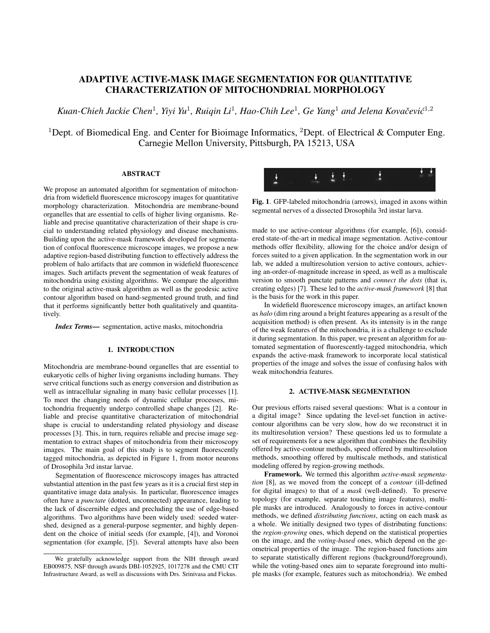# ADAPTIVE ACTIVE-MASK IMAGE SEGMENTATION FOR QUANTITATIVE CHARACTERIZATION OF MITOCHONDRIAL MORPHOLOGY

Kuan-Chieh Jackie Chen<sup>1</sup>, Yiyi Yu<sup>1</sup>, Ruiqin Li<sup>1</sup>, Hao-Chih Lee<sup>1</sup>, Ge Yang<sup>1</sup> and Jelena Kovačević<sup>1,2</sup>

<sup>1</sup>Dept. of Biomedical Eng. and Center for Bioimage Informatics, <sup>2</sup>Dept. of Electrical & Computer Eng. Carnegie Mellon University, Pittsburgh, PA 15213, USA

# ABSTRACT

We propose an automated algorithm for segmentation of mitochondria from widefield fluorescence microscopy images for quantitative morphology characterization. Mitochondria are membrane-bound organelles that are essential to cells of higher living organisms. Reliable and precise quantitative characterization of their shape is crucial to understanding related physiology and disease mechanisms. Building upon the active-mask framework developed for segmentation of confocal fluorescence microscope images, we propose a new adaptive region-based distributing function to effectively address the problem of halo artifacts that are common in widefield fluorescence images. Such artifacts prevent the segmentation of weak features of mitochondria using existing algorithms. We compare the algorithm to the original active-mask algorithm as well as the geodesic active contour algorithm based on hand-segmented ground truth, and find that it performs significantly better both qualitatively and quantitatively.

*Index Terms*— segmentation, active masks, mitochondria

# 1. INTRODUCTION

Mitochondria are membrane-bound organelles that are essential to eukaryotic cells of higher living organisms including humans. They serve critical functions such as energy conversion and distribution as well as intracellular signaling in many basic cellular processes [1]. To meet the changing needs of dynamic cellular processes, mitochondria frequently undergo controlled shape changes [2]. Reliable and precise quantitative characterization of mitochondrial shape is crucial to understanding related physiology and disease processes [3]. This, in turn, requires reliable and precise image segmentation to extract shapes of mitochondria from their microscopy images. The main goal of this study is to segment fluorescently tagged mitochondria, as depicted in Figure 1, from motor neurons of Drosophila 3rd instar larvae.

Segmentation of fluorescence microscopy images has attracted substantial attention in the past few years as it is a crucial first step in quantitative image data analysis. In particular, fluorescence images often have a *punctate* (dotted, unconnected) appearance, leading to the lack of discernible edges and precluding the use of edge-based algorithms. Two algorithms have been widely used: seeded watershed, designed as a general-purpose segmenter, and highly dependent on the choice of initial seeds (for example, [4]), and Voronoi segmentation (for example, [5]). Several attempts have also been



Fig. 1. GFP-labeled mitochondria (arrows), imaged in axons within segmental nerves of a dissected Drosophila 3rd instar larva.

made to use active-contour algorithms (for example, [6]), considered state-of-the-art in medical image segmentation. Active-contour methods offer flexibility, allowing for the choice and/or design of forces suited to a given application. In the segmentation work in our lab, we added a multiresolution version to active contours, achieving an-order-of-magnitude increase in speed, as well as a multiscale version to smooth punctate patterns and *connect the dots* (that is, creating edges) [7]. These led to the *active-mask framework* [8] that is the basis for the work in this paper.

In widefield fluorescence microscopy images, an artifact known as *halo* (dim ring around a bright features appearing as a result of the acquisition method) is often present. As its intensity is in the range of the weak features of the mitochondria, it is a challenge to exclude it during segmentation. In this paper, we present an algorithm for automated segmentation of fluorescently-tagged mitochondria, which expands the active-mask framework to incorporate local statistical properties of the image and solves the issue of confusing halos with weak mitochondria features.

# 2. ACTIVE-MASK SEGMENTATION

Our previous efforts raised several questions: What is a contour in a digital image? Since updating the level-set function in activecontour algorithms can be very slow, how do we reconstruct it in its multiresolution version? These questions led us to formulate a set of requirements for a new algorithm that combines the flexibility offered by active-contour methods, speed offered by multiresolution methods, smoothing offered by multiscale methods, and statistical modeling offered by region-growing methods.

Framework. We termed this algorithm *active-mask segmentation* [8], as we moved from the concept of a *contour* (ill-defined for digital images) to that of a *mask* (well-defined). To preserve topology (for example, separate touching image features), multiple masks are introduced. Analogously to forces in active-contour methods, we defined *distributing functions*, acting on each mask as a whole. We initially designed two types of distributing functions: the *region-growing* ones, which depend on the statistical properties on the image, and the *voting-based* ones, which depend on the geometrical properties of the image. The region-based functions aim to separate statistically different regions (background/foreground), while the voting-based ones aim to separate foreground into multiple masks (for example, features such as mitochondria). We embed

We gratefully acknowledge support from the NIH through award EB009875, NSF through awards DBI-1052925, 1017278 and the CMU CIT Infrastructure Award, as well as discussions with Drs. Srinivasa and Fickus.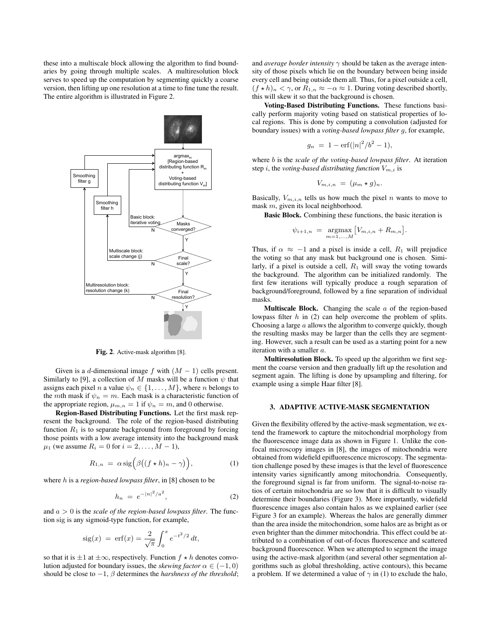these into a multiscale block allowing the algorithm to find boundaries by going through multiple scales. A multiresolution block serves to speed up the computation by segmenting quickly a coarse version, then lifting up one resolution at a time to fine tune the result. The entire algorithm is illustrated in Figure 2.



Fig. 2. Active-mask algorithm [8].

Given is a d-dimensional image f with  $(M - 1)$  cells present. Similarly to [9], a collection of M masks will be a function  $\psi$  that assigns each pixel n a value  $\psi_n \in \{1, \ldots, M\}$ , where n belongs to the mth mask if  $\psi_n = m$ . Each mask is a characteristic function of the appropriate region,  $\mu_{m,n} = 1$  if  $\psi_n = m$ , and 0 otherwise.

Region-Based Distributing Functions. Let the first mask represent the background. The role of the region-based distributing function  $R_1$  is to separate background from foreground by forcing those points with a low average intensity into the background mask  $\mu_1$  (we assume  $R_i = 0$  for  $i = 2, ..., M - 1$ ),

$$
R_{1,n} = \alpha \operatorname{sig} \left( \beta \big( (f \star h)_n - \gamma \big) \right), \tag{1}
$$

where h is a *region-based lowpass filter*, in [8] chosen to be

$$
h_n = e^{-|n|^2/a^2}, \t\t(2)
$$

and a > 0 is the *scale of the region-based lowpass filter*. The function sig is any sigmoid-type function, for example,

$$
sig(x) = erf(x) = \frac{2}{\sqrt{\pi}} \int_0^x e^{-t^2/2} dt,
$$

so that it is  $\pm 1$  at  $\pm \infty$ , respectively. Function  $f \star h$  denotes convolution adjusted for boundary issues, the *skewing factor*  $\alpha \in (-1, 0)$ should be close to  $-1$ ,  $\beta$  determines the *harshness of the threshold*; and *average border intensity*  $\gamma$  should be taken as the average intensity of those pixels which lie on the boundary between being inside every cell and being outside them all. Thus, for a pixel outside a cell,  $(f \star h)_n < \gamma$ , or  $R_{1,n} \approx -\alpha \approx 1$ . During voting described shortly, this will skew it so that the background is chosen.

Voting-Based Distributing Functions. These functions basically perform majority voting based on statistical properties of local regions. This is done by computing a convolution (adjusted for boundary issues) with a *voting-based lowpass filter* g, for example,

$$
g_n = 1 - \text{erf}(|n|^2/b^2 - 1),
$$

where b is the *scale of the voting-based lowpass filter*. At iteration step i, the *voting-based distributing function*  $V_{m,i}$  is

$$
V_{m,i,n} = (\mu_m \star g)_n.
$$

Basically,  $V_{m,i,n}$  tells us how much the pixel n wants to move to mask m, given its local neighborhood.

Basic Block. Combining these functions, the basic iteration is

$$
\psi_{i+1,n} = \underset{m=1,...,M}{\text{argmax}} [V_{m,i,n} + R_{m,n}].
$$

Thus, if  $\alpha \approx -1$  and a pixel is inside a cell,  $R_1$  will prejudice the voting so that any mask but background one is chosen. Similarly, if a pixel is outside a cell,  $R_1$  will sway the voting towards the background. The algorithm can be initialized randomly. The first few iterations will typically produce a rough separation of background/foreground, followed by a fine separation of individual masks.

**Multiscale Block.** Changing the scale  $a$  of the region-based lowpass filter  $h$  in (2) can help overcome the problem of splits. Choosing a large  $a$  allows the algorithm to converge quickly, though the resulting masks may be larger than the cells they are segmenting. However, such a result can be used as a starting point for a new iteration with a smaller a.

Multiresolution Block. To speed up the algorithm we first segment the coarse version and then gradually lift up the resolution and segment again. The lifting is done by upsampling and filtering, for example using a simple Haar filter [8].

#### 3. ADAPTIVE ACTIVE-MASK SEGMENTATION

Given the flexibility offered by the active-mask segmentation, we extend the framework to capture the mitochondrial morphology from the fluorescence image data as shown in Figure 1. Unlike the confocal microscopy images in [8], the images of mitochondria were obtained from widefield epifluorescence microscopy. The segmentation challenge posed by these images is that the level of fluorescence intensity varies significantly among mitochondria. Consequently, the foreground signal is far from uniform. The signal-to-noise ratios of certain mitochondria are so low that it is difficult to visually determine their boundaries (Figure 3). More importantly, widefield fluorescence images also contain halos as we explained earlier (see Figure 3 for an example). Whereas the halos are generally dimmer than the area inside the mitochondrion, some halos are as bright as or even brighter than the dimmer mitochondria. This effect could be attributed to a combination of out-of-focus fluorescence and scattered background fluorescence. When we attempted to segment the image using the active-mask algorithm (and several other segmentation algorithms such as global thresholding, active contours), this became a problem. If we determined a value of  $\gamma$  in (1) to exclude the halo,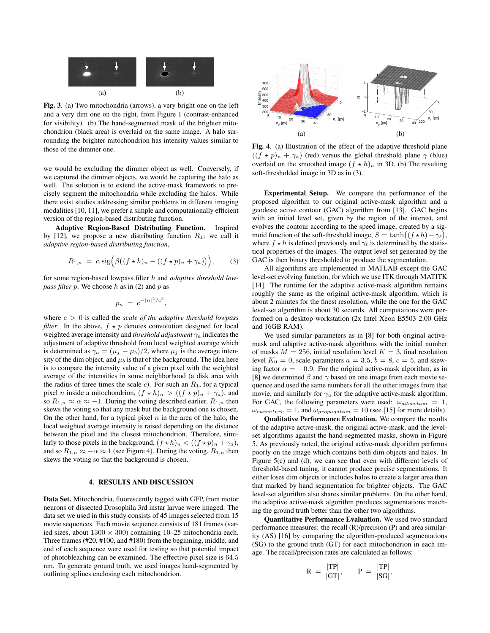

Fig. 3. (a) Two mitochondria (arrows), a very bright one on the left and a very dim one on the right, from Figure 1 (contrast-enhanced for visibility). (b) The hand-segmented mask of the brighter mitochondrion (black area) is overlaid on the same image. A halo surrounding the brighter mitochondrion has intensity values similar to those of the dimmer one.

we would be excluding the dimmer object as well. Conversely, if we captured the dimmer objects, we would be capturing the halo as well. The solution is to extend the active-mask framework to precisely segment the mitochondria while excluding the halos. While there exist studies addressing similar problems in different imaging modalities [10, 11], we prefer a simple and computationally efficient version of the region-based distributing function.

Adaptive Region-Based Distributing Function. Inspired by [12], we propose a new distributing function  $R_1$ ; we call it *adaptive region-based distributing function*,

$$
R_{1,n} = \alpha \operatorname{sig} \left( \beta \big( (f \star h)_n - ((f \star p)_n + \gamma_a) \big) \right), \quad (3)
$$

for some region-based lowpass filter h and *adaptive threshold lowpass filter*  $p$ . We choose  $h$  as in (2) and  $p$  as

$$
p_n = e^{-|n|^2/c^2},
$$

where c > 0 is called the *scale of the adaptive threshold lowpass filter*. In the above,  $f \star p$  denotes convolution designed for local weighted average intensity and *threshold adjustment* γ<sup>a</sup> indicates the adjustment of adaptive threshold from local weighted average which is determined as  $\gamma_a = (\mu_f - \mu_b)/2$ , where  $\mu_f$  is the average intensity of the dim object, and  $\mu_b$  is that of the background. The idea here is to compare the intensity value of a given pixel with the weighted average of the intensities in some neighborhood (a disk area with the radius of three times the scale  $c$ ). For such an  $R_1$ , for a typical pixel *n* inside a mitochondrion,  $(f \star h)_n > ((f \star p)_n + \gamma_a)$ , and so  $R_{1,n} \approx \alpha \approx -1$ . During the voting described earlier,  $R_{1,n}$  then skews the voting so that any mask but the background one is chosen. On the other hand, for a typical pixel  $n$  in the area of the halo, the local weighted average intensity is raised depending on the distance between the pixel and the closest mitochondrion. Therefore, similarly to those pixels in the background,  $(f \star h)_n < ((f \star p)_n + \gamma_a)$ , and so  $R_{1,n} \approx -\alpha \approx 1$  (see Figure 4). During the voting,  $R_{1,n}$  then skews the voting so that the background is chosen.

# 4. RESULTS AND DISCUSSION

Data Set. Mitochondria, fluorescently tagged with GFP, from motor neurons of dissected Drosophila 3rd instar larvae were imaged. The data set we used in this study consists of 45 images selected from 15 movie sequences. Each movie sequence consists of 181 frames (varied sizes, about  $1300 \times 300$ ) containing 10–25 mitochondria each. Three frames (#20, #100, and #180) from the beginning, middle, and end of each sequence were used for testing so that potential impact of photobleaching can be examined. The effective pixel size is 64.5 nm. To generate ground truth, we used images hand-segmented by outlining splines enclosing each mitochondrion.



Fig. 4. (a) Illustration of the effect of the adaptive threshold plane  $((f * p)<sub>n</sub> + \gamma<sub>a</sub>)$  (red) versus the global threshold plane  $\gamma$  (blue) overlaid on the smoothed image  $(f \star h)_n$  in 3D. (b) The resulting soft-thresholded image in 3D as in (3).

Experimental Setup. We compare the performance of the proposed algorithm to our original active-mask algorithm and a geodesic active contour (GAC) algorithm from [13]. GAC begins with an initial level set, given by the region of the interest, and evolves the contour according to the speed image, created by a sigmoid function of the soft-threshold image,  $S = \tanh((f \star h) - \gamma_{\ell}),$ where  $f \star h$  is defined previously and  $\gamma_{\ell}$  is determined by the statistical properties of the images. The output level set generated by the GAC is then binary thresholded to produce the segmentation.

All algorithms are implemented in MATLAB except the GAC level-set evolving function, for which we use ITK through MATITK [14]. The runtime for the adaptive active-mask algorithm remains roughly the same as the original active-mask algorithm, which is about 2 minutes for the finest resolution, while the one for the GAC level-set algorithm is about 30 seconds. All computations were performed on a desktop workstation (2x Intel Xeon E5503 2.00 GHz and 16GB RAM).

We used similar parameters as in [8] for both original activemask and adaptive active-mask algorithms with the initial number of masks  $M = 256$ , initial resolution level  $K = 3$ , final resolution level  $K_0 = 0$ , scale parameters  $a = 3.5$ ,  $b = 8$ ,  $c = 5$ , and skewing factor  $\alpha = -0.9$ . For the original active-mask algorithm, as in [8] we determined  $\beta$  and  $\gamma$  based on one image from each movie sequence and used the same numbers for all the other images from that movie, and similarly for  $\gamma_a$  for the adaptive active-mask algorithm. For GAC, the following parameters were used:  $\omega_{advection} = 1$ ,  $\omega_{curvature} = 1$ , and  $\omega_{propagation} = 10$  (see [15] for more details).

Qualitative Performance Evaluation. We compare the results of the adaptive active-mask, the original active-mask, and the levelset algorithms against the hand-segmented masks, shown in Figure 5. As previously noted, the original active-mask algorithm performs poorly on the image which contains both dim objects and halos. In Figure 5(c) and (d), we can see that even with different levels of threshold-based tuning, it cannot produce precise segmentations. It either loses dim objects or includes halos to create a larger area than that marked by hand segmentation for brighter objects. The GAC level-set algorithm also shares similar problems. On the other hand, the adaptive active-mask algorithm produces segmentations matching the ground truth better than the other two algorithms.

Quantitative Performance Evaluation. We used two standard performance measures: the recall (R)/precision (P) and area similarity (AS) [16] by comparing the algorithm-produced segmentations (SG) to the ground truth (GT) for each mitochondrion in each image. The recall/precision rates are calculated as follows:

$$
R = \frac{|TP|}{|GT|}, \qquad P = \frac{|TP|}{|SG|},
$$